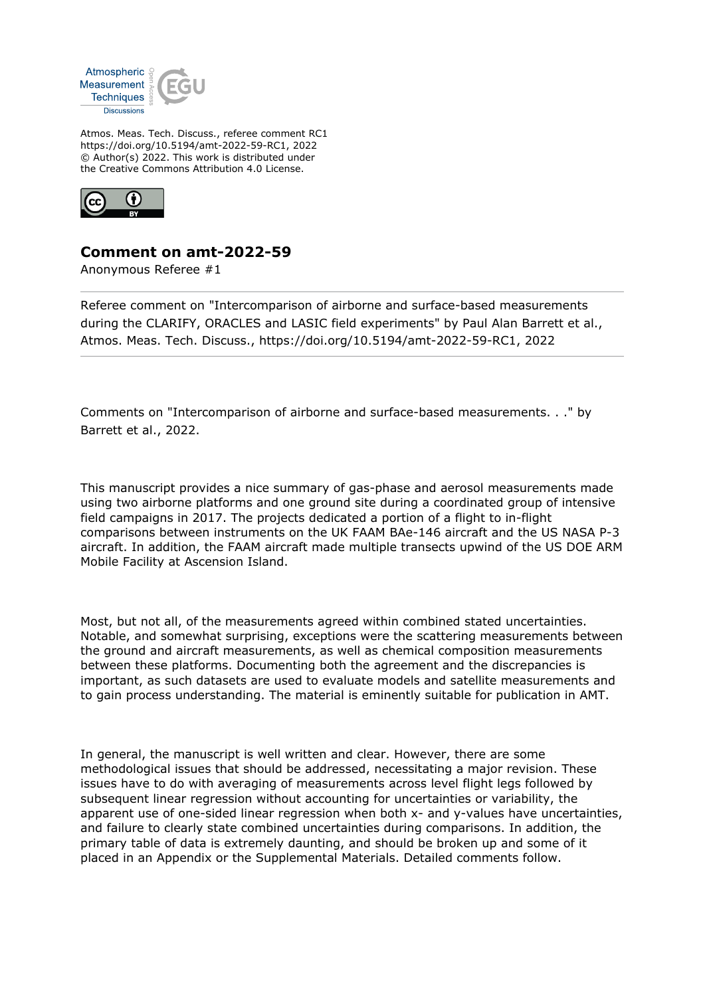

Atmos. Meas. Tech. Discuss., referee comment RC1 https://doi.org/10.5194/amt-2022-59-RC1, 2022 © Author(s) 2022. This work is distributed under the Creative Commons Attribution 4.0 License.



## **Comment on amt-2022-59**

Anonymous Referee #1

Referee comment on "Intercomparison of airborne and surface-based measurements during the CLARIFY, ORACLES and LASIC field experiments" by Paul Alan Barrett et al., Atmos. Meas. Tech. Discuss., https://doi.org/10.5194/amt-2022-59-RC1, 2022

Comments on "Intercomparison of airborne and surface-based measurements. . ." by Barrett et al., 2022.

This manuscript provides a nice summary of gas-phase and aerosol measurements made using two airborne platforms and one ground site during a coordinated group of intensive field campaigns in 2017. The projects dedicated a portion of a flight to in-flight comparisons between instruments on the UK FAAM BAe-146 aircraft and the US NASA P-3 aircraft. In addition, the FAAM aircraft made multiple transects upwind of the US DOE ARM Mobile Facility at Ascension Island.

Most, but not all, of the measurements agreed within combined stated uncertainties. Notable, and somewhat surprising, exceptions were the scattering measurements between the ground and aircraft measurements, as well as chemical composition measurements between these platforms. Documenting both the agreement and the discrepancies is important, as such datasets are used to evaluate models and satellite measurements and to gain process understanding. The material is eminently suitable for publication in AMT.

In general, the manuscript is well written and clear. However, there are some methodological issues that should be addressed, necessitating a major revision. These issues have to do with averaging of measurements across level flight legs followed by subsequent linear regression without accounting for uncertainties or variability, the apparent use of one-sided linear regression when both x- and y-values have uncertainties, and failure to clearly state combined uncertainties during comparisons. In addition, the primary table of data is extremely daunting, and should be broken up and some of it placed in an Appendix or the Supplemental Materials. Detailed comments follow.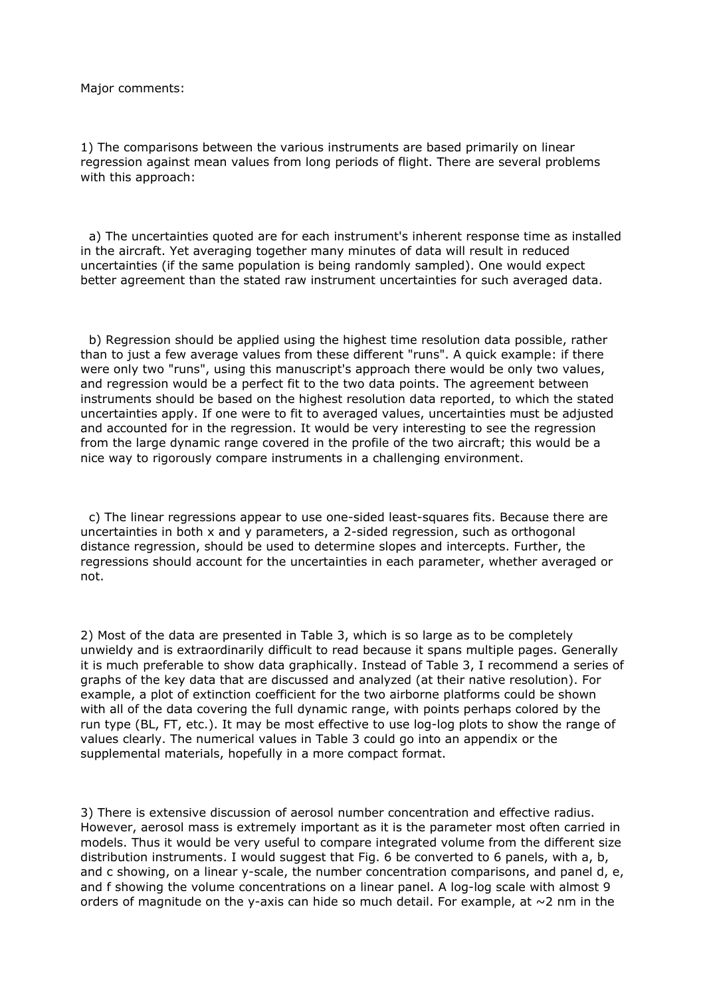Major comments:

1) The comparisons between the various instruments are based primarily on linear regression against mean values from long periods of flight. There are several problems with this approach:

 a) The uncertainties quoted are for each instrument's inherent response time as installed in the aircraft. Yet averaging together many minutes of data will result in reduced uncertainties (if the same population is being randomly sampled). One would expect better agreement than the stated raw instrument uncertainties for such averaged data.

 b) Regression should be applied using the highest time resolution data possible, rather than to just a few average values from these different "runs". A quick example: if there were only two "runs", using this manuscript's approach there would be only two values, and regression would be a perfect fit to the two data points. The agreement between instruments should be based on the highest resolution data reported, to which the stated uncertainties apply. If one were to fit to averaged values, uncertainties must be adjusted and accounted for in the regression. It would be very interesting to see the regression from the large dynamic range covered in the profile of the two aircraft; this would be a nice way to rigorously compare instruments in a challenging environment.

 c) The linear regressions appear to use one-sided least-squares fits. Because there are uncertainties in both x and y parameters, a 2-sided regression, such as orthogonal distance regression, should be used to determine slopes and intercepts. Further, the regressions should account for the uncertainties in each parameter, whether averaged or not.

2) Most of the data are presented in Table 3, which is so large as to be completely unwieldy and is extraordinarily difficult to read because it spans multiple pages. Generally it is much preferable to show data graphically. Instead of Table 3, I recommend a series of graphs of the key data that are discussed and analyzed (at their native resolution). For example, a plot of extinction coefficient for the two airborne platforms could be shown with all of the data covering the full dynamic range, with points perhaps colored by the run type (BL, FT, etc.). It may be most effective to use log-log plots to show the range of values clearly. The numerical values in Table 3 could go into an appendix or the supplemental materials, hopefully in a more compact format.

3) There is extensive discussion of aerosol number concentration and effective radius. However, aerosol mass is extremely important as it is the parameter most often carried in models. Thus it would be very useful to compare integrated volume from the different size distribution instruments. I would suggest that Fig. 6 be converted to 6 panels, with a, b, and c showing, on a linear y-scale, the number concentration comparisons, and panel d, e, and f showing the volume concentrations on a linear panel. A log-log scale with almost 9 orders of magnitude on the y-axis can hide so much detail. For example, at  $\sim$ 2 nm in the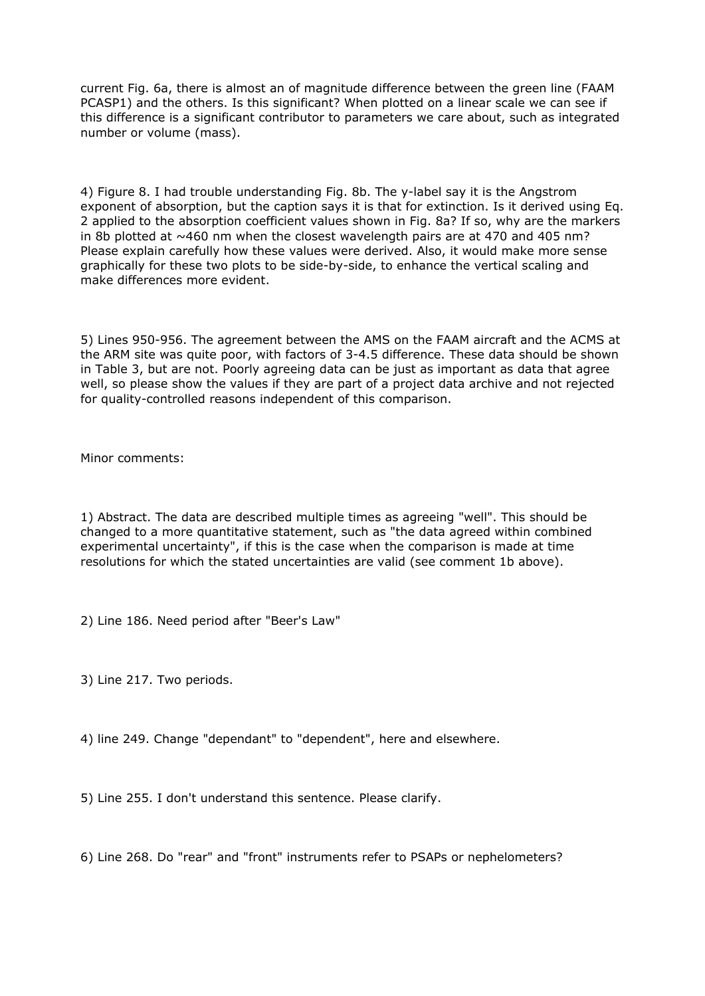current Fig. 6a, there is almost an of magnitude difference between the green line (FAAM PCASP1) and the others. Is this significant? When plotted on a linear scale we can see if this difference is a significant contributor to parameters we care about, such as integrated number or volume (mass).

4) Figure 8. I had trouble understanding Fig. 8b. The y-label say it is the Angstrom exponent of absorption, but the caption says it is that for extinction. Is it derived using Eq. 2 applied to the absorption coefficient values shown in Fig. 8a? If so, why are the markers in 8b plotted at  $\sim$ 460 nm when the closest wavelength pairs are at 470 and 405 nm? Please explain carefully how these values were derived. Also, it would make more sense graphically for these two plots to be side-by-side, to enhance the vertical scaling and make differences more evident.

5) Lines 950-956. The agreement between the AMS on the FAAM aircraft and the ACMS at the ARM site was quite poor, with factors of 3-4.5 difference. These data should be shown in Table 3, but are not. Poorly agreeing data can be just as important as data that agree well, so please show the values if they are part of a project data archive and not rejected for quality-controlled reasons independent of this comparison.

Minor comments:

1) Abstract. The data are described multiple times as agreeing "well". This should be changed to a more quantitative statement, such as "the data agreed within combined experimental uncertainty", if this is the case when the comparison is made at time resolutions for which the stated uncertainties are valid (see comment 1b above).

2) Line 186. Need period after "Beer's Law"

3) Line 217. Two periods.

4) line 249. Change "dependant" to "dependent", here and elsewhere.

5) Line 255. I don't understand this sentence. Please clarify.

6) Line 268. Do "rear" and "front" instruments refer to PSAPs or nephelometers?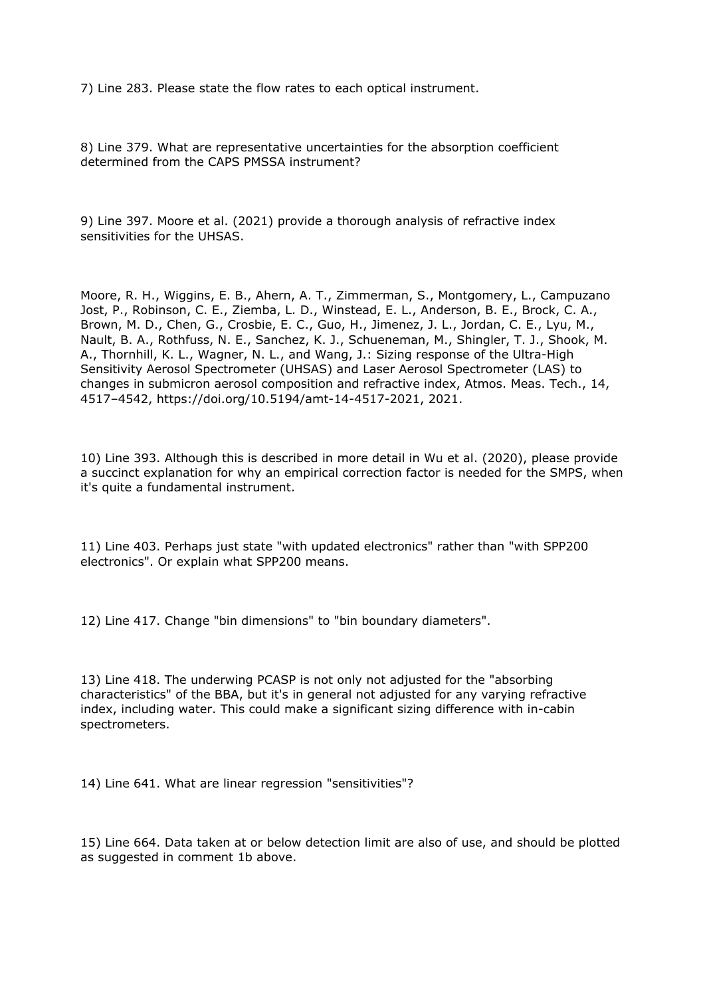7) Line 283. Please state the flow rates to each optical instrument.

8) Line 379. What are representative uncertainties for the absorption coefficient determined from the CAPS PMSSA instrument?

9) Line 397. Moore et al. (2021) provide a thorough analysis of refractive index sensitivities for the UHSAS.

Moore, R. H., Wiggins, E. B., Ahern, A. T., Zimmerman, S., Montgomery, L., Campuzano Jost, P., Robinson, C. E., Ziemba, L. D., Winstead, E. L., Anderson, B. E., Brock, C. A., Brown, M. D., Chen, G., Crosbie, E. C., Guo, H., Jimenez, J. L., Jordan, C. E., Lyu, M., Nault, B. A., Rothfuss, N. E., Sanchez, K. J., Schueneman, M., Shingler, T. J., Shook, M. A., Thornhill, K. L., Wagner, N. L., and Wang, J.: Sizing response of the Ultra-High Sensitivity Aerosol Spectrometer (UHSAS) and Laser Aerosol Spectrometer (LAS) to changes in submicron aerosol composition and refractive index, Atmos. Meas. Tech., 14, 4517–4542, https://doi.org/10.5194/amt-14-4517-2021, 2021.

10) Line 393. Although this is described in more detail in Wu et al. (2020), please provide a succinct explanation for why an empirical correction factor is needed for the SMPS, when it's quite a fundamental instrument.

11) Line 403. Perhaps just state "with updated electronics" rather than "with SPP200 electronics". Or explain what SPP200 means.

12) Line 417. Change "bin dimensions" to "bin boundary diameters".

13) Line 418. The underwing PCASP is not only not adjusted for the "absorbing characteristics" of the BBA, but it's in general not adjusted for any varying refractive index, including water. This could make a significant sizing difference with in-cabin spectrometers.

14) Line 641. What are linear regression "sensitivities"?

15) Line 664. Data taken at or below detection limit are also of use, and should be plotted as suggested in comment 1b above.